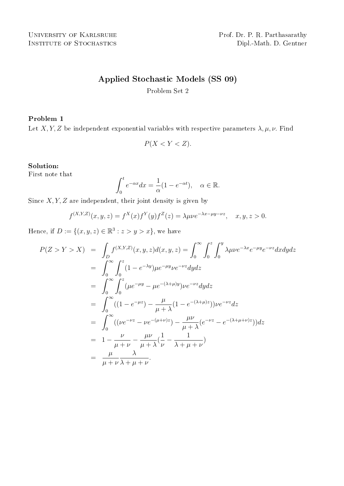# Applied Stochastic Models (SS 09)

Problem Set 2

# Problem 1

Let X, Y, Z be independent exponential variables with respective parameters  $\lambda, \mu, \nu$ . Find

$$
P(X < Y < Z).
$$

# Solution:

First note that

$$
\int_0^t e^{-\alpha x} dx = \frac{1}{\alpha} (1 - e^{-\alpha t}), \quad \alpha \in \mathbb{R}.
$$

Since  $X, Y, Z$  are independent, their joint density is given by

$$
f^{(X,Y,Z)}(x,y,z) = f^X(x)f^Y(y)f^Z(z) = \lambda \mu \nu e^{-\lambda x - \mu y - \nu z}, \quad x, y, z > 0.
$$

Hence, if  $D := \{(x, y, z) \in \mathbb{R}^3 : z > y > x\}$ , we have

$$
P(Z > Y > X) = \int_{D} f^{(X,Y,Z)}(x, y, z) d(x, y, z) = \int_{0}^{\infty} \int_{0}^{z} \int_{0}^{y} \lambda \mu \nu e^{-\lambda x} e^{-\mu y} e^{-\nu z} dxdydz
$$
  
\n
$$
= \int_{0}^{\infty} \int_{0}^{z} (1 - e^{-\lambda y}) \mu e^{-\mu y} \nu e^{-\nu z} dydz
$$
  
\n
$$
= \int_{0}^{\infty} \int_{0}^{z} (\mu e^{-\mu y} - \mu e^{-(\lambda + \mu)y}) \nu e^{-\nu z} dydz
$$
  
\n
$$
= \int_{0}^{\infty} ((1 - e^{-\mu z}) - \frac{\mu}{\mu + \lambda} (1 - e^{-(\lambda + \mu)z})) \nu e^{-\nu z} dz
$$
  
\n
$$
= \int_{0}^{\infty} ((\nu e^{-\nu z} - \nu e^{-(\mu + \nu)z}) - \frac{\mu \nu}{\mu + \lambda} (e^{-\nu z} - e^{-(\lambda + \mu + \nu)z})) dz
$$
  
\n
$$
= 1 - \frac{\nu}{\mu + \nu} - \frac{\mu \nu}{\mu + \lambda} (\frac{1}{\nu} - \frac{1}{\lambda + \mu + \nu})
$$
  
\n
$$
= \frac{\mu}{\mu + \nu} \frac{\lambda}{\lambda + \mu + \nu}.
$$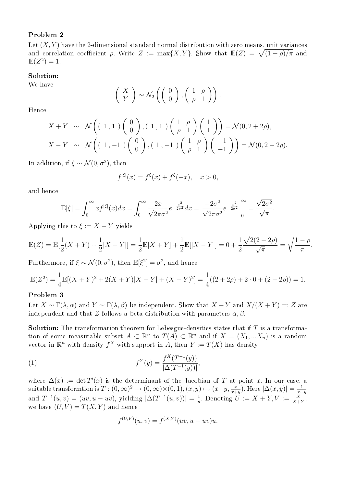# Problem 2

Let  $(X, Y)$  have the 2-dimensional standard normal distribution with zero means, unit variances Let (x, r) have the 2-dimensional standard normal distribution with zero means, unit variances<br>and correlation coefficient ρ. Write Z := max{X,Y}. Show that  $\mathbb{E}(Z) = \sqrt{(1-\rho)/\pi}$  and  $E(Z^2) = 1.$ 

### Solution:

We have

$$
\left(\begin{array}{c} X \\ Y \end{array}\right) \sim \mathcal{N}_2\left(\left(\begin{array}{c} 0 \\ 0 \end{array}\right), \left(\begin{array}{cc} 1 & \rho \\ \rho & 1 \end{array}\right)\right).
$$

Hence

$$
X + Y \sim \mathcal{N}\left((1,1)\begin{pmatrix}0\\0\end{pmatrix}, (1,1)\begin{pmatrix}1&\rho\\ \rho&1\end{pmatrix}\begin{pmatrix}1\\1\end{pmatrix}\right) = \mathcal{N}(0, 2 + 2\rho),
$$
  

$$
X - Y \sim \mathcal{N}\left((1,-1)\begin{pmatrix}0\\0\end{pmatrix}, (1,-1)\begin{pmatrix}1&\rho\\ \rho&1\end{pmatrix}\begin{pmatrix}1\\-1\end{pmatrix}\right) = \mathcal{N}(0, 2 - 2\rho).
$$

In addition, if  $\xi \sim \mathcal{N}(0, \sigma^2)$ , then

$$
f^{|\xi|}(x) = f^{\xi}(x) + f^{\xi}(-x), \quad x > 0,
$$

and hence

$$
\mathbb{E}|\xi| = \int_0^\infty x f^{|\xi|}(x) dx = \int_0^\infty \frac{2x}{\sqrt{2\pi\sigma^2}} e^{-\frac{x^2}{2\sigma^2}} dx = \frac{-2\sigma^2}{\sqrt{2\pi\sigma^2}} e^{-\frac{x^2}{2\sigma^2}} \bigg|_0^\infty = \frac{\sqrt{2\sigma^2}}{\sqrt{\pi}}.
$$

Applying this to  $\xi := X - Y$  yields

$$
\mathbb{E}(Z) = \mathbb{E}[\frac{1}{2}(X+Y) + \frac{1}{2}|X-Y|] = \frac{1}{2}\mathbb{E}[X+Y] + \frac{1}{2}\mathbb{E}[|X-Y|] = 0 + \frac{1}{2}\frac{\sqrt{2(2-2\rho)}}{\sqrt{\pi}} = \sqrt{\frac{1-\rho}{\pi}}.
$$

Furthermore, if  $\xi \sim \mathcal{N}(0, \sigma^2)$ , then  $\mathbb{E}[\xi^2] = \sigma^2$ , and hence

$$
\mathbb{E}(Z^2) = \frac{1}{4}\mathbb{E}[(X+Y)^2 + 2(X+Y)|X-Y| + (X-Y)^2] = \frac{1}{4}((2+2\rho) + 2 \cdot 0 + (2-2\rho)) = 1.
$$

### Problem 3

Let  $X \sim \Gamma(\lambda, \alpha)$  and  $Y \sim \Gamma(\lambda, \beta)$  be independent. Show that  $X + Y$  and  $X/(X + Y) =: Z$  are independent and that Z follows a beta distribution with parameters  $\alpha$ ,  $\beta$ .

**Solution:** The transformation theorem for Lebesgue-densities states that if  $T$  is a transformation of some measurable subset  $A \subset \mathbb{R}^n$  to  $T(A) \subset \mathbb{R}^n$  and if  $X = (X_1, ... X_n)$  is a random vector in  $\mathbb{R}^n$  with density  $f^X$  with support in A, then  $Y := T(X)$  has density

(1) 
$$
f^{Y}(y) = \frac{f^{X}(T^{-1}(y))}{|\Delta(T^{-1}(y))|},
$$

where  $\Delta(x) := \det T'(x)$  is the determinant of the Jacobian of T at point x. In our case, a suitable transformtion is  $T:(0,\infty)^2\to (0,\infty)\times (0,1), (x,y)\mapsto (x+y,\frac{x}{x+y}).$  Here  $|\Delta(x,y)|=\frac{1}{x+y}$  $x+y$ and  $T^{-1}(u, v) = (uv, u - uv)$ , yielding  $|\Delta(T^{-1}(u, v))| = \frac{1}{u}$  $\frac{1}{u}$ . Denoting  $U := X + Y, V := \frac{X}{X+Y}$ , we have  $(U, V) = T(X, Y)$  and hence

$$
f^{(U,V)}(u,v) = f^{(X,Y)}(uv, u - uv)u.
$$